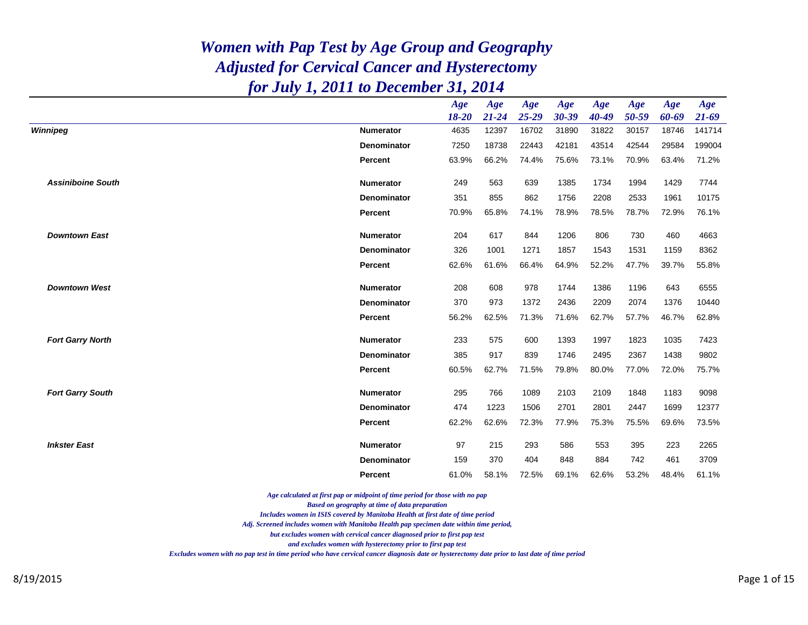|                          |                    | Age       | Age       | Age       | Age       | Age   | Age   | Age   | Age       |
|--------------------------|--------------------|-----------|-----------|-----------|-----------|-------|-------|-------|-----------|
|                          |                    | $18 - 20$ | $21 - 24$ | $25 - 29$ | $30 - 39$ | 40-49 | 50-59 | 60-69 | $21 - 69$ |
| Winnipeg                 | <b>Numerator</b>   | 4635      | 12397     | 16702     | 31890     | 31822 | 30157 | 18746 | 141714    |
|                          | <b>Denominator</b> | 7250      | 18738     | 22443     | 42181     | 43514 | 42544 | 29584 | 199004    |
|                          | <b>Percent</b>     | 63.9%     | 66.2%     | 74.4%     | 75.6%     | 73.1% | 70.9% | 63.4% | 71.2%     |
| <b>Assiniboine South</b> | <b>Numerator</b>   | 249       | 563       | 639       | 1385      | 1734  | 1994  | 1429  | 7744      |
|                          | Denominator        | 351       | 855       | 862       | 1756      | 2208  | 2533  | 1961  | 10175     |
|                          | Percent            | 70.9%     | 65.8%     | 74.1%     | 78.9%     | 78.5% | 78.7% | 72.9% | 76.1%     |
| <b>Downtown East</b>     | <b>Numerator</b>   | 204       | 617       | 844       | 1206      | 806   | 730   | 460   | 4663      |
|                          | <b>Denominator</b> | 326       | 1001      | 1271      | 1857      | 1543  | 1531  | 1159  | 8362      |
|                          | <b>Percent</b>     | 62.6%     | 61.6%     | 66.4%     | 64.9%     | 52.2% | 47.7% | 39.7% | 55.8%     |
| <b>Downtown West</b>     | <b>Numerator</b>   | 208       | 608       | 978       | 1744      | 1386  | 1196  | 643   | 6555      |
|                          | <b>Denominator</b> | 370       | 973       | 1372      | 2436      | 2209  | 2074  | 1376  | 10440     |
|                          | Percent            | 56.2%     | 62.5%     | 71.3%     | 71.6%     | 62.7% | 57.7% | 46.7% | 62.8%     |
| <b>Fort Garry North</b>  | <b>Numerator</b>   | 233       | 575       | 600       | 1393      | 1997  | 1823  | 1035  | 7423      |
|                          | <b>Denominator</b> | 385       | 917       | 839       | 1746      | 2495  | 2367  | 1438  | 9802      |
|                          | Percent            | 60.5%     | 62.7%     | 71.5%     | 79.8%     | 80.0% | 77.0% | 72.0% | 75.7%     |
| <b>Fort Garry South</b>  | <b>Numerator</b>   | 295       | 766       | 1089      | 2103      | 2109  | 1848  | 1183  | 9098      |
|                          | <b>Denominator</b> | 474       | 1223      | 1506      | 2701      | 2801  | 2447  | 1699  | 12377     |
|                          | Percent            | 62.2%     | 62.6%     | 72.3%     | 77.9%     | 75.3% | 75.5% | 69.6% | 73.5%     |
| <b>Inkster East</b>      | <b>Numerator</b>   | 97        | 215       | 293       | 586       | 553   | 395   | 223   | 2265      |
|                          | <b>Denominator</b> | 159       | 370       | 404       | 848       | 884   | 742   | 461   | 3709      |
|                          | Percent            | 61.0%     | 58.1%     | 72.5%     | 69.1%     | 62.6% | 53.2% | 48.4% | 61.1%     |

*Age calculated at first pap or midpoint of time period for those with no pap*

*Based on geography at time of data preparation*

*Includes women in ISIS covered by Manitoba Health at first date of time period*

*Adj. Screened includes women with Manitoba Health pap specimen date within time period,*

*but excludes women with cervical cancer diagnosed prior to first pap test*

*and excludes women with hysterectomy prior to first pap test*

*Excludes women with no pap test in time period who have cervical cancer diagnosis date or hysterectomy date prior to last date of time period*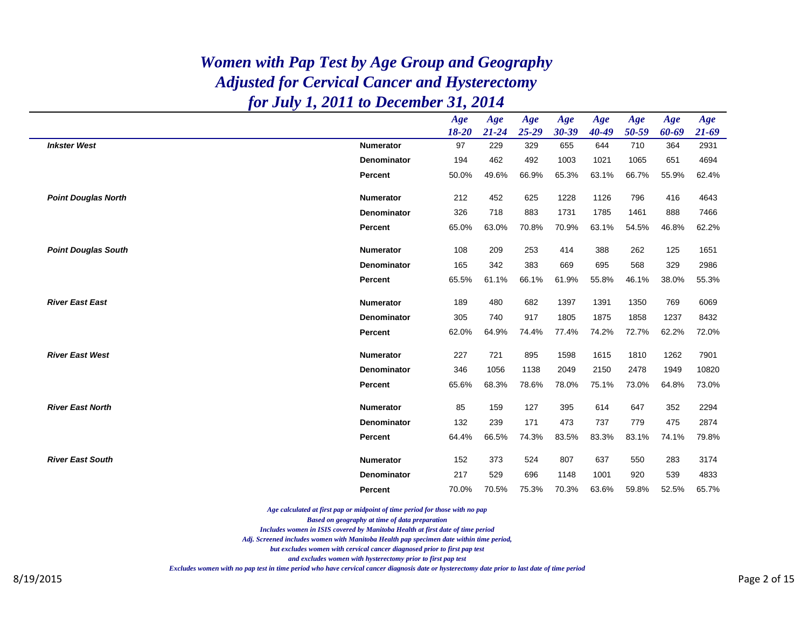|                            |                    | Age<br>$18 - 20$ | Age<br>$21 - 24$ | Age<br>$25 - 29$ | Age<br>30-39 | Age<br>40-49 | Age<br>50-59 | Age<br>60-69 | Age<br>$21 - 69$ |
|----------------------------|--------------------|------------------|------------------|------------------|--------------|--------------|--------------|--------------|------------------|
| <b>Inkster West</b>        | <b>Numerator</b>   | 97               | 229              | 329              | 655          | 644          | 710          | 364          | 2931             |
|                            | <b>Denominator</b> | 194              | 462              | 492              | 1003         | 1021         | 1065         | 651          | 4694             |
|                            | Percent            | 50.0%            | 49.6%            | 66.9%            | 65.3%        | 63.1%        | 66.7%        | 55.9%        | 62.4%            |
| <b>Point Douglas North</b> | <b>Numerator</b>   | 212              | 452              | 625              | 1228         | 1126         | 796          | 416          | 4643             |
|                            | <b>Denominator</b> | 326              | 718              | 883              | 1731         | 1785         | 1461         | 888          | 7466             |
|                            | Percent            | 65.0%            | 63.0%            | 70.8%            | 70.9%        | 63.1%        | 54.5%        | 46.8%        | 62.2%            |
| <b>Point Douglas South</b> | <b>Numerator</b>   | 108              | 209              | 253              | 414          | 388          | 262          | 125          | 1651             |
|                            | <b>Denominator</b> | 165              | 342              | 383              | 669          | 695          | 568          | 329          | 2986             |
|                            | <b>Percent</b>     | 65.5%            | 61.1%            | 66.1%            | 61.9%        | 55.8%        | 46.1%        | 38.0%        | 55.3%            |
| <b>River East East</b>     | <b>Numerator</b>   | 189              | 480              | 682              | 1397         | 1391         | 1350         | 769          | 6069             |
|                            | <b>Denominator</b> | 305              | 740              | 917              | 1805         | 1875         | 1858         | 1237         | 8432             |
|                            | <b>Percent</b>     | 62.0%            | 64.9%            | 74.4%            | 77.4%        | 74.2%        | 72.7%        | 62.2%        | 72.0%            |
| <b>River East West</b>     | <b>Numerator</b>   | 227              | 721              | 895              | 1598         | 1615         | 1810         | 1262         | 7901             |
|                            | <b>Denominator</b> | 346              | 1056             | 1138             | 2049         | 2150         | 2478         | 1949         | 10820            |
|                            | Percent            | 65.6%            | 68.3%            | 78.6%            | 78.0%        | 75.1%        | 73.0%        | 64.8%        | 73.0%            |
| <b>River East North</b>    | <b>Numerator</b>   | 85               | 159              | 127              | 395          | 614          | 647          | 352          | 2294             |
|                            | Denominator        | 132              | 239              | 171              | 473          | 737          | 779          | 475          | 2874             |
|                            | Percent            | 64.4%            | 66.5%            | 74.3%            | 83.5%        | 83.3%        | 83.1%        | 74.1%        | 79.8%            |
| <b>River East South</b>    | <b>Numerator</b>   | 152              | 373              | 524              | 807          | 637          | 550          | 283          | 3174             |
|                            | <b>Denominator</b> | 217              | 529              | 696              | 1148         | 1001         | 920          | 539          | 4833             |
|                            | Percent            | 70.0%            | 70.5%            | 75.3%            | 70.3%        | 63.6%        | 59.8%        | 52.5%        | 65.7%            |

*Age calculated at first pap or midpoint of time period for those with no pap*

*Based on geography at time of data preparation*

*Includes women in ISIS covered by Manitoba Health at first date of time period*

*Adj. Screened includes women with Manitoba Health pap specimen date within time period,*

*but excludes women with cervical cancer diagnosed prior to first pap test*

*and excludes women with hysterectomy prior to first pap test*

*Excludes women with no pap test in time period who have cervical cancer diagnosis date or hysterectomy date prior to last date of time period*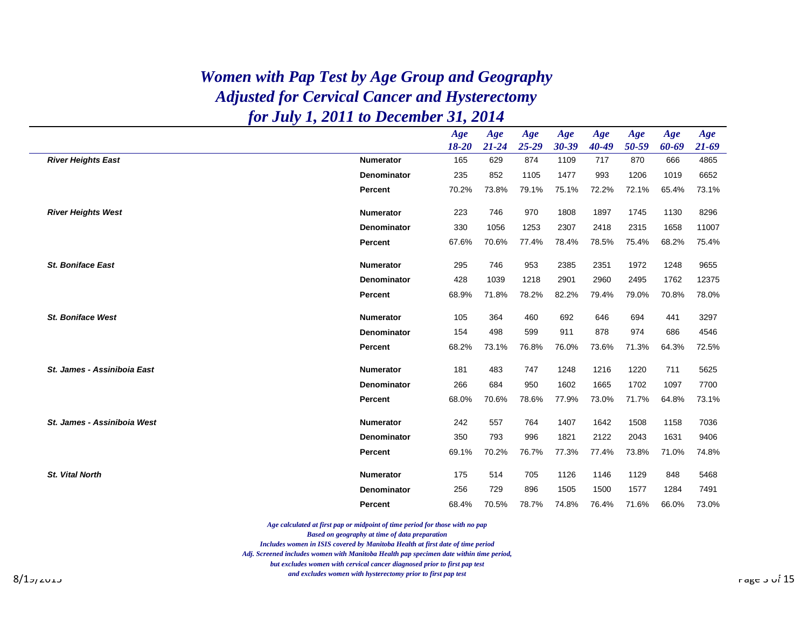|                             |                    | Age<br>18-20 | Age<br>$21 - 24$ | Age<br>$25 - 29$ | Age<br>$30 - 39$ | Age<br>$40 - 49$ | Age<br>50-59 | Age<br>60-69 | Age<br>$21 - 69$ |
|-----------------------------|--------------------|--------------|------------------|------------------|------------------|------------------|--------------|--------------|------------------|
| <b>River Heights East</b>   | <b>Numerator</b>   | 165          | 629              | 874              | 1109             | 717              | 870          | 666          | 4865             |
|                             | <b>Denominator</b> | 235          | 852              | 1105             | 1477             | 993              | 1206         | 1019         | 6652             |
|                             | Percent            | 70.2%        | 73.8%            | 79.1%            | 75.1%            | 72.2%            | 72.1%        | 65.4%        | 73.1%            |
| <b>River Heights West</b>   | <b>Numerator</b>   | 223          | 746              | 970              | 1808             | 1897             | 1745         | 1130         | 8296             |
|                             | <b>Denominator</b> | 330          | 1056             | 1253             | 2307             | 2418             | 2315         | 1658         | 11007            |
|                             | Percent            | 67.6%        | 70.6%            | 77.4%            | 78.4%            | 78.5%            | 75.4%        | 68.2%        | 75.4%            |
| <b>St. Boniface East</b>    | <b>Numerator</b>   | 295          | 746              | 953              | 2385             | 2351             | 1972         | 1248         | 9655             |
|                             | <b>Denominator</b> | 428          | 1039             | 1218             | 2901             | 2960             | 2495         | 1762         | 12375            |
|                             | <b>Percent</b>     | 68.9%        | 71.8%            | 78.2%            | 82.2%            | 79.4%            | 79.0%        | 70.8%        | 78.0%            |
| <b>St. Boniface West</b>    | <b>Numerator</b>   | 105          | 364              | 460              | 692              | 646              | 694          | 441          | 3297             |
|                             | <b>Denominator</b> | 154          | 498              | 599              | 911              | 878              | 974          | 686          | 4546             |
|                             | Percent            | 68.2%        | 73.1%            | 76.8%            | 76.0%            | 73.6%            | 71.3%        | 64.3%        | 72.5%            |
| St. James - Assiniboia East | <b>Numerator</b>   | 181          | 483              | 747              | 1248             | 1216             | 1220         | 711          | 5625             |
|                             | <b>Denominator</b> | 266          | 684              | 950              | 1602             | 1665             | 1702         | 1097         | 7700             |
|                             | Percent            | 68.0%        | 70.6%            | 78.6%            | 77.9%            | 73.0%            | 71.7%        | 64.8%        | 73.1%            |
| St. James - Assiniboia West | <b>Numerator</b>   | 242          | 557              | 764              | 1407             | 1642             | 1508         | 1158         | 7036             |
|                             | <b>Denominator</b> | 350          | 793              | 996              | 1821             | 2122             | 2043         | 1631         | 9406             |
|                             | Percent            | 69.1%        | 70.2%            | 76.7%            | 77.3%            | 77.4%            | 73.8%        | 71.0%        | 74.8%            |
| <b>St. Vital North</b>      | <b>Numerator</b>   | 175          | 514              | 705              | 1126             | 1146             | 1129         | 848          | 5468             |
|                             | <b>Denominator</b> | 256          | 729              | 896              | 1505             | 1500             | 1577         | 1284         | 7491             |
|                             | <b>Percent</b>     | 68.4%        | 70.5%            | 78.7%            | 74.8%            | 76.4%            | 71.6%        | 66.0%        | 73.0%            |

*Age calculated at first pap or midpoint of time period for those with no pap*

*Based on geography at time of data preparation*

*Includes women in ISIS covered by Manitoba Health at first date of time period*

*Adj. Screened includes women with Manitoba Health pap specimen date within time period,*

*but excludes women with cervical cancer diagnosed prior to first pap test*

 $8/1$ מות אינגוויינג איז אויינג איז אויינג איז אויינג איז אויינג איז אויינג איז אויינג אויינג אויינג אויינג אויינג אויינג אויינג אויינג אויינג אויינג אויינג אויינג אויינג אויינג אויינג אויינג אויינג אויינג אויינג אויינג או *and excludes women with hysterectomy prior to first pap test*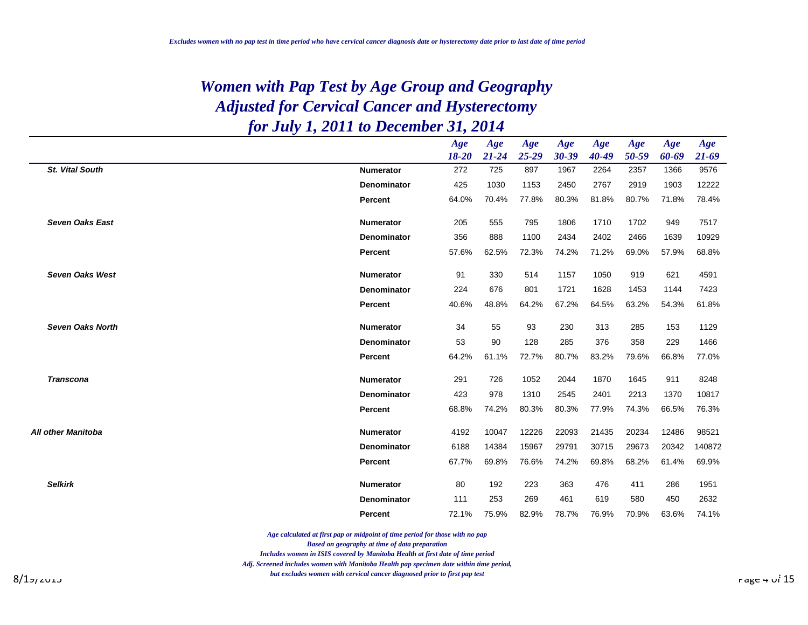|                         |                    | Age<br>$18 - 20$ | Age<br>$21 - 24$ | Age<br>$25 - 29$ | Age<br>$30 - 39$ | Age<br>40-49 | Age<br>50-59 | Age<br>60-69 | Age<br>$21 - 69$ |
|-------------------------|--------------------|------------------|------------------|------------------|------------------|--------------|--------------|--------------|------------------|
| <b>St. Vital South</b>  | <b>Numerator</b>   | 272              | 725              | 897              | 1967             | 2264         | 2357         | 1366         | 9576             |
|                         | <b>Denominator</b> | 425              | 1030             | 1153             | 2450             | 2767         | 2919         | 1903         | 12222            |
|                         | Percent            | 64.0%            | 70.4%            | 77.8%            | 80.3%            | 81.8%        | 80.7%        | 71.8%        | 78.4%            |
| <b>Seven Oaks East</b>  | <b>Numerator</b>   | 205              | 555              | 795              | 1806             | 1710         | 1702         | 949          | 7517             |
|                         | Denominator        | 356              | 888              | 1100             | 2434             | 2402         | 2466         | 1639         | 10929            |
|                         | Percent            | 57.6%            | 62.5%            | 72.3%            | 74.2%            | 71.2%        | 69.0%        | 57.9%        | 68.8%            |
| <b>Seven Oaks West</b>  | <b>Numerator</b>   | 91               | 330              | 514              | 1157             | 1050         | 919          | 621          | 4591             |
|                         | Denominator        | 224              | 676              | 801              | 1721             | 1628         | 1453         | 1144         | 7423             |
|                         | Percent            | 40.6%            | 48.8%            | 64.2%            | 67.2%            | 64.5%        | 63.2%        | 54.3%        | 61.8%            |
| <b>Seven Oaks North</b> | <b>Numerator</b>   | 34               | 55               | 93               | 230              | 313          | 285          | 153          | 1129             |
|                         | Denominator        | 53               | 90               | 128              | 285              | 376          | 358          | 229          | 1466             |
|                         | <b>Percent</b>     | 64.2%            | 61.1%            | 72.7%            | 80.7%            | 83.2%        | 79.6%        | 66.8%        | 77.0%            |
| <b>Transcona</b>        | <b>Numerator</b>   | 291              | 726              | 1052             | 2044             | 1870         | 1645         | 911          | 8248             |
|                         | <b>Denominator</b> | 423              | 978              | 1310             | 2545             | 2401         | 2213         | 1370         | 10817            |
|                         | <b>Percent</b>     | 68.8%            | 74.2%            | 80.3%            | 80.3%            | 77.9%        | 74.3%        | 66.5%        | 76.3%            |
| All other Manitoba      | <b>Numerator</b>   | 4192             | 10047            | 12226            | 22093            | 21435        | 20234        | 12486        | 98521            |
|                         | <b>Denominator</b> | 6188             | 14384            | 15967            | 29791            | 30715        | 29673        | 20342        | 140872           |
|                         | Percent            | 67.7%            | 69.8%            | 76.6%            | 74.2%            | 69.8%        | 68.2%        | 61.4%        | 69.9%            |
| <b>Selkirk</b>          | <b>Numerator</b>   | 80               | 192              | 223              | 363              | 476          | 411          | 286          | 1951             |
|                         | Denominator        | 111              | 253              | 269              | 461              | 619          | 580          | 450          | 2632             |
|                         | <b>Percent</b>     | 72.1%            | 75.9%            | 82.9%            | 78.7%            | 76.9%        | 70.9%        | 63.6%        | 74.1%            |

*Age calculated at first pap or midpoint of time period for those with no pap*

*Based on geography at time of data preparation*

*Includes women in ISIS covered by Manitoba Health at first date of time period*

*Adj. Screened includes women with Manitoba Health pap specimen date within time period,*

8/19/2015 Page 4 of 15 *but excludes women with cervical cancer diagnosed prior to first pap test*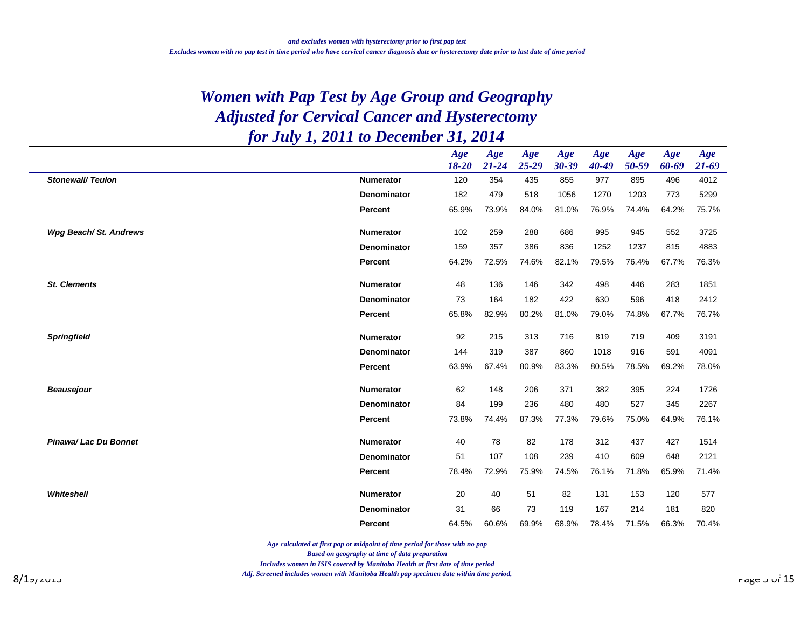|                         |                    | Age       | Age       | Age       | Age   | Age       | Age   | Age   | Age       |
|-------------------------|--------------------|-----------|-----------|-----------|-------|-----------|-------|-------|-----------|
|                         |                    | $18 - 20$ | $21 - 24$ | $25 - 29$ | 30-39 | $40 - 49$ | 50-59 | 60-69 | $21 - 69$ |
| <b>Stonewall/Teulon</b> | <b>Numerator</b>   | 120       | 354       | 435       | 855   | 977       | 895   | 496   | 4012      |
|                         | Denominator        | 182       | 479       | 518       | 1056  | 1270      | 1203  | 773   | 5299      |
|                         | Percent            | 65.9%     | 73.9%     | 84.0%     | 81.0% | 76.9%     | 74.4% | 64.2% | 75.7%     |
| Wpg Beach/St. Andrews   | <b>Numerator</b>   | 102       | 259       | 288       | 686   | 995       | 945   | 552   | 3725      |
|                         | <b>Denominator</b> | 159       | 357       | 386       | 836   | 1252      | 1237  | 815   | 4883      |
|                         | Percent            | 64.2%     | 72.5%     | 74.6%     | 82.1% | 79.5%     | 76.4% | 67.7% | 76.3%     |
|                         |                    |           |           |           |       |           |       |       |           |
| <b>St. Clements</b>     | <b>Numerator</b>   | 48        | 136       | 146       | 342   | 498       | 446   | 283   | 1851      |
|                         | <b>Denominator</b> | 73        | 164       | 182       | 422   | 630       | 596   | 418   | 2412      |
|                         | <b>Percent</b>     | 65.8%     | 82.9%     | 80.2%     | 81.0% | 79.0%     | 74.8% | 67.7% | 76.7%     |
|                         |                    |           |           |           |       |           |       |       |           |
| <b>Springfield</b>      | <b>Numerator</b>   | 92        | 215       | 313       | 716   | 819       | 719   | 409   | 3191      |
|                         | <b>Denominator</b> | 144       | 319       | 387       | 860   | 1018      | 916   | 591   | 4091      |
|                         | Percent            | 63.9%     | 67.4%     | 80.9%     | 83.3% | 80.5%     | 78.5% | 69.2% | 78.0%     |
| <b>Beausejour</b>       | <b>Numerator</b>   | 62        | 148       | 206       | 371   | 382       | 395   | 224   | 1726      |
|                         | <b>Denominator</b> | 84        | 199       | 236       | 480   | 480       | 527   | 345   | 2267      |
|                         | Percent            | 73.8%     | 74.4%     | 87.3%     | 77.3% | 79.6%     | 75.0% | 64.9% | 76.1%     |
|                         |                    |           |           |           |       |           |       |       |           |
| Pinawa/ Lac Du Bonnet   | <b>Numerator</b>   | 40        | 78        | 82        | 178   | 312       | 437   | 427   | 1514      |
|                         | <b>Denominator</b> | 51        | 107       | 108       | 239   | 410       | 609   | 648   | 2121      |
|                         | Percent            | 78.4%     | 72.9%     | 75.9%     | 74.5% | 76.1%     | 71.8% | 65.9% | 71.4%     |
|                         |                    |           |           |           |       |           |       |       |           |
| Whiteshell              | <b>Numerator</b>   | 20        | 40        | 51        | 82    | 131       | 153   | 120   | 577       |
|                         | <b>Denominator</b> | 31        | 66        | 73        | 119   | 167       | 214   | 181   | 820       |
|                         | <b>Percent</b>     | 64.5%     | 60.6%     | 69.9%     | 68.9% | 78.4%     | 71.5% | 66.3% | 70.4%     |

*Age calculated at first pap or midpoint of time period for those with no pap*

*Based on geography at time of data preparation*

*Includes women in ISIS covered by Manitoba Health at first date of time period*

 $\alpha$ g, strenea intiales women wan inamiood Healm pap specimen adie wanin ame period,  $8/1$ 7/2017 Page 7 of 15 *Adj. Screened includes women with Manitoba Health pap specimen date within time period,*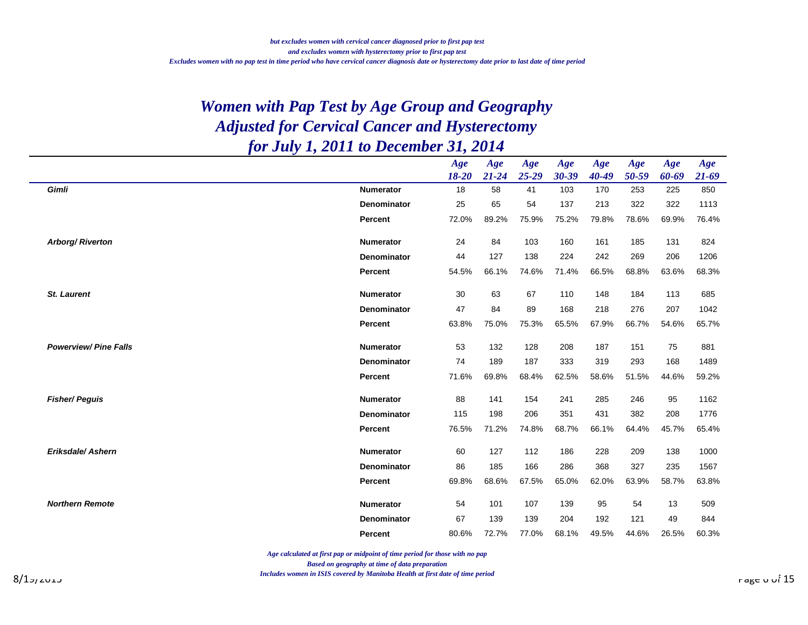|                             |                    | Age<br>18-20 | Age<br>$21 - 24$ | Age<br>$25 - 29$ | Age<br>$30 - 39$ | Age<br>$40 - 49$ | Age<br>50-59 | Age<br>60-69 | Age<br>$21 - 69$ |
|-----------------------------|--------------------|--------------|------------------|------------------|------------------|------------------|--------------|--------------|------------------|
| Gimli                       | <b>Numerator</b>   | 18           | 58               | 41               | 103              | 170              | 253          | 225          | 850              |
|                             | <b>Denominator</b> | 25           | 65               | 54               | 137              | 213              | 322          | 322          | 1113             |
|                             | Percent            | 72.0%        | 89.2%            | 75.9%            | 75.2%            | 79.8%            | 78.6%        | 69.9%        | 76.4%            |
|                             |                    |              |                  |                  |                  |                  |              |              |                  |
| Arborg/Riverton             | <b>Numerator</b>   | 24           | 84               | 103              | 160              | 161              | 185          | 131          | 824              |
|                             | <b>Denominator</b> | 44           | 127              | 138              | 224              | 242              | 269          | 206          | 1206             |
|                             | Percent            | 54.5%        | 66.1%            | 74.6%            | 71.4%            | 66.5%            | 68.8%        | 63.6%        | 68.3%            |
|                             | <b>Numerator</b>   | 30           | 63               | 67               | 110              | 148              | 184          | 113          | 685              |
| <b>St. Laurent</b>          |                    |              |                  |                  |                  |                  |              |              |                  |
|                             | <b>Denominator</b> | 47           | 84               | 89               | 168              | 218              | 276          | 207          | 1042             |
|                             | Percent            | 63.8%        | 75.0%            | 75.3%            | 65.5%            | 67.9%            | 66.7%        | 54.6%        | 65.7%            |
| <b>Powerview/Pine Falls</b> | <b>Numerator</b>   | 53           | 132              | 128              | 208              | 187              | 151          | 75           | 881              |
|                             | <b>Denominator</b> | 74           | 189              | 187              | 333              | 319              | 293          | 168          | 1489             |
|                             | Percent            | 71.6%        | 69.8%            | 68.4%            | 62.5%            | 58.6%            | 51.5%        | 44.6%        | 59.2%            |
| <b>Fisher/Peguis</b>        | <b>Numerator</b>   | 88           | 141              | 154              | 241              | 285              | 246          | 95           | 1162             |
|                             | <b>Denominator</b> | 115          | 198              | 206              | 351              | 431              | 382          | 208          | 1776             |
|                             | Percent            | 76.5%        | 71.2%            | 74.8%            | 68.7%            | 66.1%            | 64.4%        | 45.7%        | 65.4%            |
|                             |                    |              |                  |                  |                  |                  |              |              |                  |
| <b>Eriksdale/Ashern</b>     | <b>Numerator</b>   | 60           | 127              | 112              | 186              | 228              | 209          | 138          | 1000             |
|                             | <b>Denominator</b> | 86           | 185              | 166              | 286              | 368              | 327          | 235          | 1567             |
|                             | Percent            | 69.8%        | 68.6%            | 67.5%            | 65.0%            | 62.0%            | 63.9%        | 58.7%        | 63.8%            |
| <b>Northern Remote</b>      | <b>Numerator</b>   | 54           | 101              | 107              | 139              | 95               | 54           | 13           | 509              |
|                             | Denominator        | 67           | 139              | 139              | 204              | 192              | 121          | 49           | 844              |
|                             | <b>Percent</b>     | 80.6%        | 72.7%            | 77.0%            | 68.1%            | 49.5%            | 44.6%        | 26.5%        | 60.3%            |
|                             |                    |              |                  |                  |                  |                  |              |              |                  |

*Age calculated at first pap or midpoint of time period for those with no pap*

*Based on geography at time of data preparation*

 $8/1$ מענענא איז הענענא איז הענענא איז הענענא און הא א א הענענא איז הענענא איז הענענא א הא א א הא א א הא א הא א הא  $15$ *Includes women in ISIS covered by Manitoba Health at first date of time period*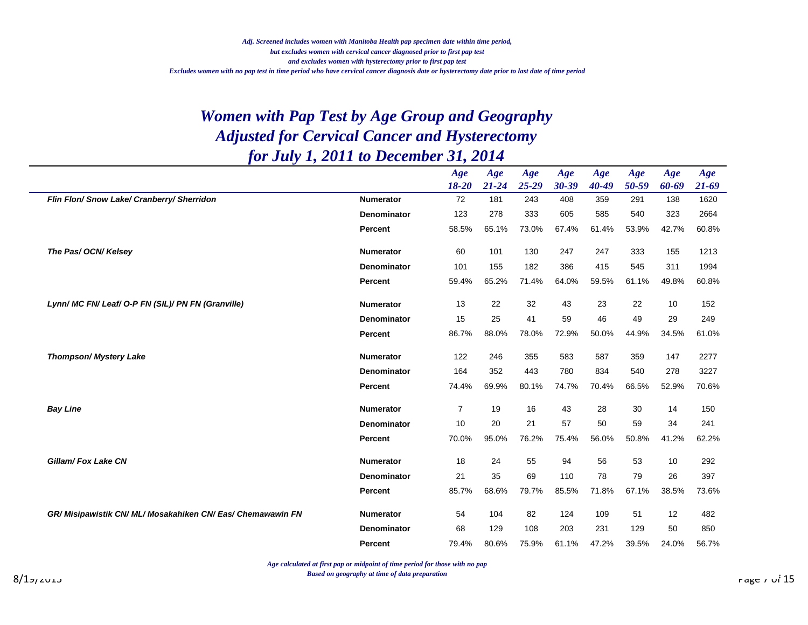|                                                             |                    | Age<br>$18 - 20$ | Age<br>$21 - 24$ | Age<br>$25 - 29$ | Age<br>$30 - 39$ | Age<br>40-49 | Age<br>50-59 | Age<br>60-69 | Age<br>$21 - 69$ |
|-------------------------------------------------------------|--------------------|------------------|------------------|------------------|------------------|--------------|--------------|--------------|------------------|
| Flin Flon/ Snow Lake/ Cranberry/ Sherridon                  | <b>Numerator</b>   | 72               | 181              | 243              | 408              | 359          | 291          | 138          | 1620             |
|                                                             | <b>Denominator</b> | 123              | 278              | 333              | 605              | 585          | 540          | 323          | 2664             |
|                                                             | <b>Percent</b>     | 58.5%            | 65.1%            | 73.0%            | 67.4%            | 61.4%        | 53.9%        | 42.7%        | 60.8%            |
| The Pas/ OCN/ Kelsey                                        | <b>Numerator</b>   | 60               | 101              | 130              | 247              | 247          | 333          | 155          | 1213             |
|                                                             | Denominator        | 101              | 155              | 182              | 386              | 415          | 545          | 311          | 1994             |
|                                                             | Percent            | 59.4%            | 65.2%            | 71.4%            | 64.0%            | 59.5%        | 61.1%        | 49.8%        | 60.8%            |
| Lynn/MC FN/ Leaf/ O-P FN (SIL)/ PN FN (Granville)           | <b>Numerator</b>   | 13               | 22               | 32               | 43               | 23           | 22           | 10           | 152              |
|                                                             | <b>Denominator</b> | 15               | 25               | 41               | 59               | 46           | 49           | 29           | 249              |
|                                                             | Percent            | 86.7%            | 88.0%            | 78.0%            | 72.9%            | 50.0%        | 44.9%        | 34.5%        | 61.0%            |
| Thompson/ Mystery Lake                                      | <b>Numerator</b>   | 122              | 246              | 355              | 583              | 587          | 359          | 147          | 2277             |
|                                                             | <b>Denominator</b> | 164              | 352              | 443              | 780              | 834          | 540          | 278          | 3227             |
|                                                             | <b>Percent</b>     | 74.4%            | 69.9%            | 80.1%            | 74.7%            | 70.4%        | 66.5%        | 52.9%        | 70.6%            |
| <b>Bay Line</b>                                             | <b>Numerator</b>   | $\overline{7}$   | 19               | 16               | 43               | 28           | 30           | 14           | 150              |
|                                                             | <b>Denominator</b> | 10               | 20               | 21               | 57               | 50           | 59           | 34           | 241              |
|                                                             | <b>Percent</b>     | 70.0%            | 95.0%            | 76.2%            | 75.4%            | 56.0%        | 50.8%        | 41.2%        | 62.2%            |
| <b>Gillam/Fox Lake CN</b>                                   | <b>Numerator</b>   | 18               | 24               | 55               | 94               | 56           | 53           | 10           | 292              |
|                                                             | <b>Denominator</b> | 21               | 35               | 69               | 110              | 78           | 79           | 26           | 397              |
|                                                             | <b>Percent</b>     | 85.7%            | 68.6%            | 79.7%            | 85.5%            | 71.8%        | 67.1%        | 38.5%        | 73.6%            |
| GR/ Misipawistik CN/ ML/ Mosakahiken CN/ Eas/ Chemawawin FN | <b>Numerator</b>   | 54               | 104              | 82               | 124              | 109          | 51           | 12           | 482              |
|                                                             | <b>Denominator</b> | 68               | 129              | 108              | 203              | 231          | 129          | 50           | 850              |
|                                                             | <b>Percent</b>     | 79.4%            | 80.6%            | 75.9%            | 61.1%            | 47.2%        | 39.5%        | 24.0%        | 56.7%            |

*Age calculated at first pap or midpoint of time period for those with no pap*

*Based on geography at time of data preparation*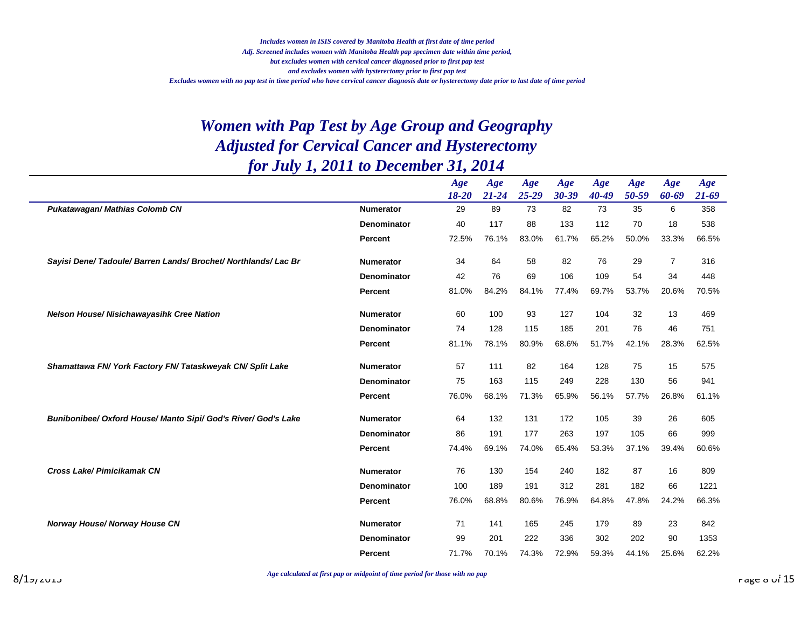|                                                                 |                    | Age<br>$18 - 20$ | Age<br>$21 - 24$ | Age<br>$25 - 29$ | Age<br>$30 - 39$ | Age<br>$40 - 49$ | Age<br>50-59 | Age<br>60-69   | Age<br>$21 - 69$ |
|-----------------------------------------------------------------|--------------------|------------------|------------------|------------------|------------------|------------------|--------------|----------------|------------------|
| Pukatawagan/ Mathias Colomb CN                                  | <b>Numerator</b>   | 29               | 89               | 73               | 82               | 73               | 35           | 6              | 358              |
|                                                                 | Denominator        | 40               | 117              | 88               | 133              | 112              | 70           | 18             | 538              |
|                                                                 | Percent            | 72.5%            | 76.1%            | 83.0%            | 61.7%            | 65.2%            | 50.0%        | 33.3%          | 66.5%            |
| Sayisi Dene/ Tadoule/ Barren Lands/ Brochet/ Northlands/ Lac Br | <b>Numerator</b>   | 34               | 64               | 58               | 82               | 76               | 29           | $\overline{7}$ | 316              |
|                                                                 | <b>Denominator</b> | 42               | 76               | 69               | 106              | 109              | 54           | 34             | 448              |
|                                                                 | <b>Percent</b>     | 81.0%            | 84.2%            | 84.1%            | 77.4%            | 69.7%            | 53.7%        | 20.6%          | 70.5%            |
| Nelson House/ Nisichawayasihk Cree Nation                       | <b>Numerator</b>   | 60               | 100              | 93               | 127              | 104              | 32           | 13             | 469              |
|                                                                 | <b>Denominator</b> | 74               | 128              | 115              | 185              | 201              | 76           | 46             | 751              |
|                                                                 | <b>Percent</b>     | 81.1%            | 78.1%            | 80.9%            | 68.6%            | 51.7%            | 42.1%        | 28.3%          | 62.5%            |
| Shamattawa FN/York Factory FN/Tataskweyak CN/Split Lake         | <b>Numerator</b>   | 57               | 111              | 82               | 164              | 128              | 75           | 15             | 575              |
|                                                                 | Denominator        | 75               | 163              | 115              | 249              | 228              | 130          | 56             | 941              |
|                                                                 | <b>Percent</b>     | 76.0%            | 68.1%            | 71.3%            | 65.9%            | 56.1%            | 57.7%        | 26.8%          | 61.1%            |
| Bunibonibee/ Oxford House/ Manto Sipi/ God's River/ God's Lake  | <b>Numerator</b>   | 64               | 132              | 131              | 172              | 105              | 39           | 26             | 605              |
|                                                                 | <b>Denominator</b> | 86               | 191              | 177              | 263              | 197              | 105          | 66             | 999              |
|                                                                 | <b>Percent</b>     | 74.4%            | 69.1%            | 74.0%            | 65.4%            | 53.3%            | 37.1%        | 39.4%          | 60.6%            |
| Cross Lake/ Pimicikamak CN                                      | <b>Numerator</b>   | 76               | 130              | 154              | 240              | 182              | 87           | 16             | 809              |
|                                                                 | <b>Denominator</b> | 100              | 189              | 191              | 312              | 281              | 182          | 66             | 1221             |
|                                                                 | Percent            | 76.0%            | 68.8%            | 80.6%            | 76.9%            | 64.8%            | 47.8%        | 24.2%          | 66.3%            |
| Norway House/ Norway House CN                                   | <b>Numerator</b>   | 71               | 141              | 165              | 245              | 179              | 89           | 23             | 842              |
|                                                                 | <b>Denominator</b> | 99               | 201              | 222              | 336              | 302              | 202          | 90             | 1353             |
|                                                                 | <b>Percent</b>     | 71.7%            | 70.1%            | 74.3%            | 72.9%            | 59.3%            | 44.1%        | 25.6%          | 62.2%            |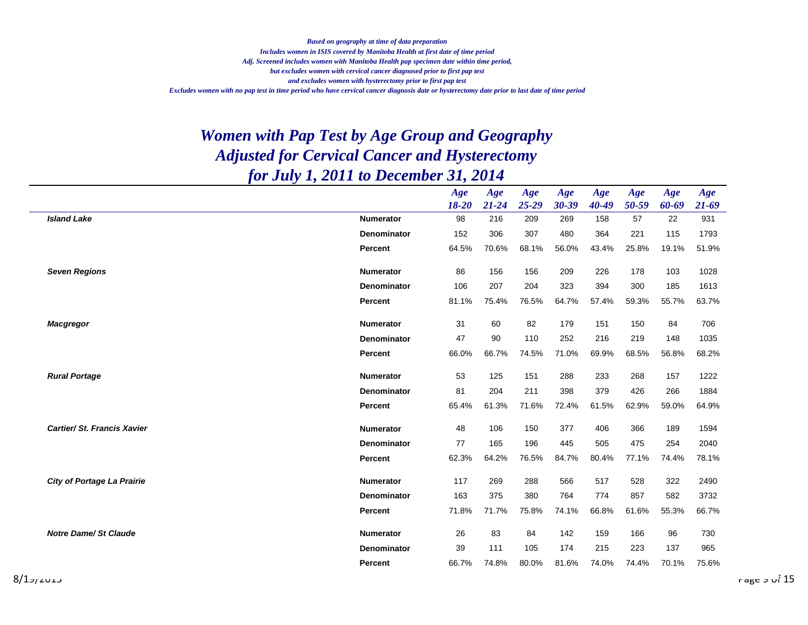*Includes women in ISIS covered by Manitoba Health at first date of time period Adj. Screened includes women with Manitoba Health pap specimen date within time period, but excludes women with cervical cancer diagnosed prior to first pap test and excludes women with hysterectomy prior to first pap test Excludes women with no pap test in time period who have cervical cancer diagnosis date or hysterectomy date prior to last date of time period Based on geography at time of data preparation*

|                                   |                    | Age<br>18-20 | Age<br>$21 - 24$ | Age<br>$25 - 29$ | Age<br>30-39 | Age<br>$40 - 49$ | Age<br>50-59 | Age<br>60-69 | Age<br>$21 - 69$ |
|-----------------------------------|--------------------|--------------|------------------|------------------|--------------|------------------|--------------|--------------|------------------|
| <b>Island Lake</b>                | <b>Numerator</b>   | 98           | 216              | 209              | 269          | 158              | 57           | 22           | 931              |
|                                   | <b>Denominator</b> | 152          | 306              | 307              | 480          | 364              | 221          | 115          | 1793             |
|                                   | Percent            | 64.5%        | 70.6%            | 68.1%            | 56.0%        | 43.4%            | 25.8%        | 19.1%        | 51.9%            |
| <b>Seven Regions</b>              | <b>Numerator</b>   | 86           | 156              | 156              | 209          | 226              | 178          | 103          | 1028             |
|                                   | <b>Denominator</b> | 106          | 207              | 204              | 323          | 394              | 300          | 185          | 1613             |
|                                   | <b>Percent</b>     | 81.1%        | 75.4%            | 76.5%            | 64.7%        | 57.4%            | 59.3%        | 55.7%        | 63.7%            |
| <b>Macgregor</b>                  | <b>Numerator</b>   | 31           | 60               | 82               | 179          | 151              | 150          | 84           | 706              |
|                                   | <b>Denominator</b> | 47           | 90               | 110              | 252          | 216              | 219          | 148          | 1035             |
|                                   | Percent            | 66.0%        | 66.7%            | 74.5%            | 71.0%        | 69.9%            | 68.5%        | 56.8%        | 68.2%            |
| <b>Rural Portage</b>              | <b>Numerator</b>   | 53           | 125              | 151              | 288          | 233              | 268          | 157          | 1222             |
|                                   | <b>Denominator</b> | 81           | 204              | 211              | 398          | 379              | 426          | 266          | 1884             |
|                                   | Percent            | 65.4%        | 61.3%            | 71.6%            | 72.4%        | 61.5%            | 62.9%        | 59.0%        | 64.9%            |
| Cartier/ St. Francis Xavier       | <b>Numerator</b>   | 48           | 106              | 150              | 377          | 406              | 366          | 189          | 1594             |
|                                   | <b>Denominator</b> | 77           | 165              | 196              | 445          | 505              | 475          | 254          | 2040             |
|                                   | Percent            | 62.3%        | 64.2%            | 76.5%            | 84.7%        | 80.4%            | 77.1%        | 74.4%        | 78.1%            |
| <b>City of Portage La Prairie</b> | <b>Numerator</b>   | 117          | 269              | 288              | 566          | 517              | 528          | 322          | 2490             |
|                                   | Denominator        | 163          | 375              | 380              | 764          | 774              | 857          | 582          | 3732             |
|                                   | Percent            | 71.8%        | 71.7%            | 75.8%            | 74.1%        | 66.8%            | 61.6%        | 55.3%        | 66.7%            |
| <b>Notre Dame/ St Claude</b>      | <b>Numerator</b>   | 26           | 83               | 84               | 142          | 159              | 166          | 96           | 730              |
|                                   | <b>Denominator</b> | 39           | 111              | 105              | 174          | 215              | 223          | 137          | 965              |
|                                   | Percent            | 66.7%        | 74.8%            | 80.0%            | 81.6%        | 74.0%            | 74.4%        | 70.1%        | 75.6%            |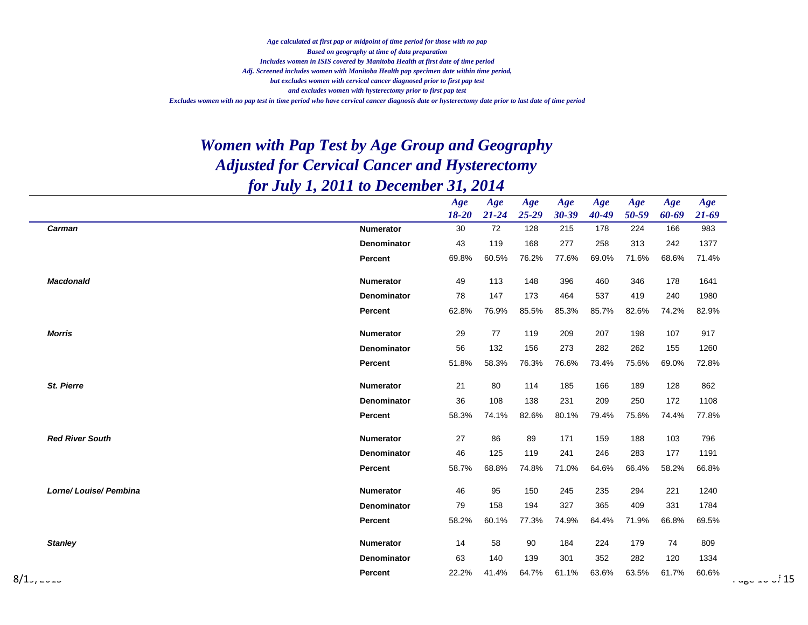*Includes women in ISIS covered by Manitoba Health at first date of time period Adj. Screened includes women with Manitoba Health pap specimen date within time period, but excludes women with cervical cancer diagnosed prior to first pap test and excludes women with hysterectomy prior to first pap test Excludes women with no pap test in time period who have cervical cancer diagnosis date or hysterectomy date prior to last date of time period Age calculated at first pap or midpoint of time period for those with no pap Based on geography at time of data preparation*

|                        |                  | Age<br>$18 - 20$ | Age<br>$21 - 24$ | Age<br>25-29 | Age<br>$30 - 39$ | Age<br>$40 - 49$ | Age<br>50-59 | Age<br>60-69 | Age<br>$21 - 69$ |                 |
|------------------------|------------------|------------------|------------------|--------------|------------------|------------------|--------------|--------------|------------------|-----------------|
| Carman                 | <b>Numerator</b> | 30               | 72               | 128          | 215              | 178              | 224          | 166          | 983              |                 |
|                        | Denominator      | 43               | 119              | 168          | 277              | 258              | 313          | 242          | 1377             |                 |
|                        | Percent          | 69.8%            | 60.5%            | 76.2%        | 77.6%            | 69.0%            | 71.6%        | 68.6%        | 71.4%            |                 |
| <b>Macdonald</b>       | Numerator        | 49               | 113              | 148          | 396              | 460              | 346          | 178          | 1641             |                 |
|                        | Denominator      | 78               | 147              | 173          | 464              | 537              | 419          | 240          | 1980             |                 |
|                        | Percent          | 62.8%            | 76.9%            | 85.5%        | 85.3%            | 85.7%            | 82.6%        | 74.2%        | 82.9%            |                 |
| <b>Morris</b>          | <b>Numerator</b> | 29               | 77               | 119          | 209              | 207              | 198          | 107          | 917              |                 |
|                        | Denominator      | 56               | 132              | 156          | 273              | 282              | 262          | 155          | 1260             |                 |
|                        | Percent          | 51.8%            | 58.3%            | 76.3%        | 76.6%            | 73.4%            | 75.6%        | 69.0%        | 72.8%            |                 |
| St. Pierre             | <b>Numerator</b> | 21               | 80               | 114          | 185              | 166              | 189          | 128          | 862              |                 |
|                        | Denominator      | 36               | 108              | 138          | 231              | 209              | 250          | 172          | 1108             |                 |
|                        | <b>Percent</b>   | 58.3%            | 74.1%            | 82.6%        | 80.1%            | 79.4%            | 75.6%        | 74.4%        | 77.8%            |                 |
| <b>Red River South</b> | <b>Numerator</b> | 27               | 86               | 89           | 171              | 159              | 188          | 103          | 796              |                 |
|                        | Denominator      | 46               | 125              | 119          | 241              | 246              | 283          | 177          | 1191             |                 |
|                        | <b>Percent</b>   | 58.7%            | 68.8%            | 74.8%        | 71.0%            | 64.6%            | 66.4%        | 58.2%        | 66.8%            |                 |
| Lorne/Louise/Pembina   | <b>Numerator</b> | 46               | 95               | 150          | 245              | 235              | 294          | 221          | 1240             |                 |
|                        | Denominator      | 79               | 158              | 194          | 327              | 365              | 409          | 331          | 1784             |                 |
|                        | Percent          | 58.2%            | 60.1%            | 77.3%        | 74.9%            | 64.4%            | 71.9%        | 66.8%        | 69.5%            |                 |
| <b>Stanley</b>         | <b>Numerator</b> | 14               | 58               | 90           | 184              | 224              | 179          | 74           | 809              |                 |
|                        | Denominator      | 63               | 140              | 139          | 301              | 352              | 282          | 120          | 1334             |                 |
| $8/1$ ,                | Percent          | 22.2%            | 41.4%            | 64.7%        | 61.1%            | 63.6%            | 63.5%        | 61.7%        | 60.6%            | ا نام سے محمد ا |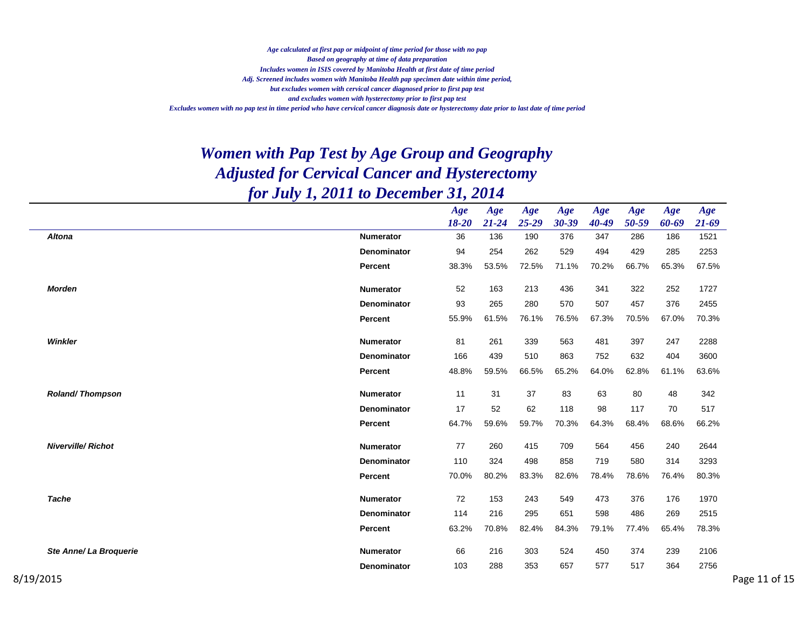*Includes women in ISIS covered by Manitoba Health at first date of time period Adj. Screened includes women with Manitoba Health pap specimen date within time period, but excludes women with cervical cancer diagnosed prior to first pap test and excludes women with hysterectomy prior to first pap test Excludes women with no pap test in time period who have cervical cancer diagnosis date or hysterectomy date prior to last date of time period Age calculated at first pap or midpoint of time period for those with no pap Based on geography at time of data preparation*

|                           |                    | Age       | Age       | Age       | Age   | Age   | Age   | Age   | Age       |
|---------------------------|--------------------|-----------|-----------|-----------|-------|-------|-------|-------|-----------|
|                           |                    | $18 - 20$ | $21 - 24$ | $25 - 29$ | 30-39 | 40-49 | 50-59 | 60-69 | $21 - 69$ |
| <b>Altona</b>             | <b>Numerator</b>   | 36        | 136       | 190       | 376   | 347   | 286   | 186   | 1521      |
|                           | <b>Denominator</b> | 94        | 254       | 262       | 529   | 494   | 429   | 285   | 2253      |
|                           | Percent            | 38.3%     | 53.5%     | 72.5%     | 71.1% | 70.2% | 66.7% | 65.3% | 67.5%     |
| <b>Morden</b>             | <b>Numerator</b>   | 52        | 163       | 213       | 436   | 341   | 322   | 252   | 1727      |
|                           | Denominator        | 93        | 265       | 280       | 570   | 507   | 457   | 376   | 2455      |
|                           | <b>Percent</b>     | 55.9%     | 61.5%     | 76.1%     | 76.5% | 67.3% | 70.5% | 67.0% | 70.3%     |
| Winkler                   | Numerator          | 81        | 261       | 339       | 563   | 481   | 397   | 247   | 2288      |
|                           | <b>Denominator</b> | 166       | 439       | 510       | 863   | 752   | 632   | 404   | 3600      |
|                           | Percent            | 48.8%     | 59.5%     | 66.5%     | 65.2% | 64.0% | 62.8% | 61.1% | 63.6%     |
| <b>Roland/Thompson</b>    | <b>Numerator</b>   | 11        | 31        | 37        | 83    | 63    | 80    | 48    | 342       |
|                           | Denominator        | 17        | 52        | 62        | 118   | 98    | 117   | 70    | 517       |
|                           | Percent            | 64.7%     | 59.6%     | 59.7%     | 70.3% | 64.3% | 68.4% | 68.6% | 66.2%     |
| <b>Niverville/ Richot</b> | Numerator          | 77        | 260       | 415       | 709   | 564   | 456   | 240   | 2644      |
|                           | Denominator        | 110       | 324       | 498       | 858   | 719   | 580   | 314   | 3293      |
|                           | Percent            | 70.0%     | 80.2%     | 83.3%     | 82.6% | 78.4% | 78.6% | 76.4% | 80.3%     |
| <b>Tache</b>              | <b>Numerator</b>   | 72        | 153       | 243       | 549   | 473   | 376   | 176   | 1970      |
|                           | <b>Denominator</b> | 114       | 216       | 295       | 651   | 598   | 486   | 269   | 2515      |
|                           | Percent            | 63.2%     | 70.8%     | 82.4%     | 84.3% | 79.1% | 77.4% | 65.4% | 78.3%     |
| Ste Anne/ La Broquerie    | Numerator          | 66        | 216       | 303       | 524   | 450   | 374   | 239   | 2106      |
|                           | <b>Denominator</b> | 103       | 288       | 353       | 657   | 577   | 517   | 364   | 2756      |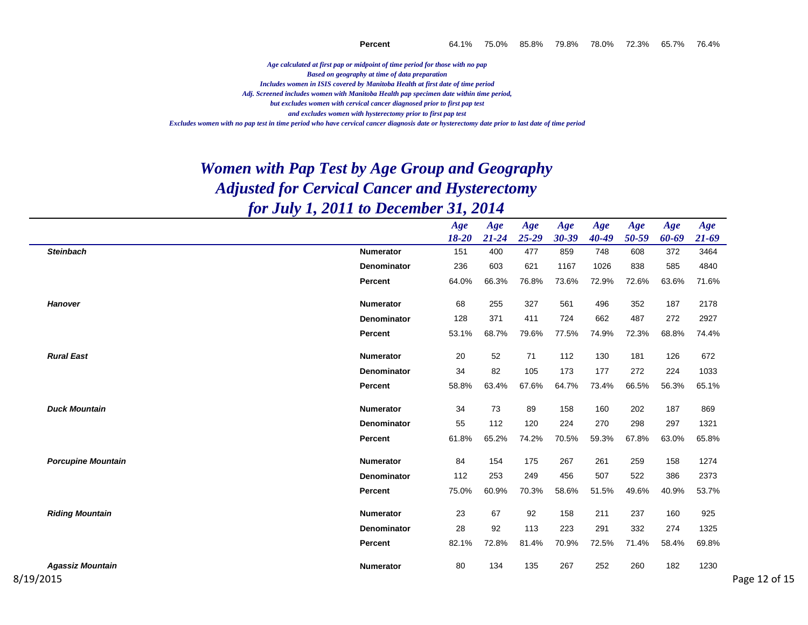*Age calculated at first pap or midpoint of time period for those with no pap Based on geography at time of data preparation*

*Includes women in ISIS covered by Manitoba Health at first date of time period*

*Adj. Screened includes women with Manitoba Health pap specimen date within time period,*

*but excludes women with cervical cancer diagnosed prior to first pap test*

*and excludes women with hysterectomy prior to first pap test*

*Excludes women with no pap test in time period who have cervical cancer diagnosis date or hysterectomy date prior to last date of time period*

|                           |                    | Age<br>$18 - 20$ | Age<br>$21 - 24$ | Age<br>$25 - 29$ | Age<br>30-39 | Age<br>$40 - 49$ | Age<br>50-59 | Age<br>60-69 | Age<br>$21 - 69$ |
|---------------------------|--------------------|------------------|------------------|------------------|--------------|------------------|--------------|--------------|------------------|
| <b>Steinbach</b>          | <b>Numerator</b>   | 151              | 400              | 477              | 859          | 748              | 608          | 372          | 3464             |
|                           | Denominator        | 236              | 603              | 621              | 1167         | 1026             | 838          | 585          | 4840             |
|                           | Percent            | 64.0%            | 66.3%            | 76.8%            | 73.6%        | 72.9%            | 72.6%        | 63.6%        | 71.6%            |
| <b>Hanover</b>            | <b>Numerator</b>   | 68               | 255              | 327              | 561          | 496              | 352          | 187          | 2178             |
|                           | <b>Denominator</b> | 128              | 371              | 411              | 724          | 662              | 487          | 272          | 2927             |
|                           | Percent            | 53.1%            | 68.7%            | 79.6%            | 77.5%        | 74.9%            | 72.3%        | 68.8%        | 74.4%            |
| <b>Rural East</b>         | Numerator          | 20               | 52               | 71               | 112          | 130              | 181          | 126          | 672              |
|                           | Denominator        | 34               | 82               | 105              | 173          | 177              | 272          | 224          | 1033             |
|                           | Percent            | 58.8%            | 63.4%            | 67.6%            | 64.7%        | 73.4%            | 66.5%        | 56.3%        | 65.1%            |
| <b>Duck Mountain</b>      | <b>Numerator</b>   | 34               | 73               | 89               | 158          | 160              | 202          | 187          | 869              |
|                           | <b>Denominator</b> | 55               | 112              | 120              | 224          | 270              | 298          | 297          | 1321             |
|                           | Percent            | 61.8%            | 65.2%            | 74.2%            | 70.5%        | 59.3%            | 67.8%        | 63.0%        | 65.8%            |
| <b>Porcupine Mountain</b> | <b>Numerator</b>   | 84               | 154              | 175              | 267          | 261              | 259          | 158          | 1274             |
|                           | Denominator        | 112              | 253              | 249              | 456          | 507              | 522          | 386          | 2373             |
|                           | Percent            | 75.0%            | 60.9%            | 70.3%            | 58.6%        | 51.5%            | 49.6%        | 40.9%        | 53.7%            |
| <b>Riding Mountain</b>    | <b>Numerator</b>   | 23               | 67               | 92               | 158          | 211              | 237          | 160          | 925              |
|                           | Denominator        | 28               | 92               | 113              | 223          | 291              | 332          | 274          | 1325             |
|                           | Percent            | 82.1%            | 72.8%            | 81.4%            | 70.9%        | 72.5%            | 71.4%        | 58.4%        | 69.8%            |
| <b>Agassiz Mountain</b>   | <b>Numerator</b>   | 80               | 134              | 135              | 267          | 252              | 260          | 182          | 1230             |
| 8/19/2015                 |                    |                  |                  |                  |              |                  |              |              |                  |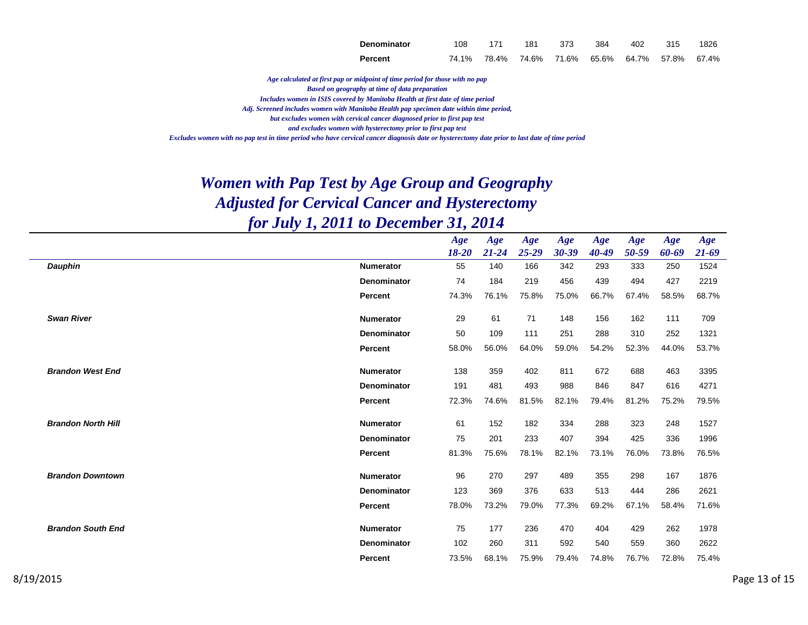| Denominator | 108 | 171 | 181 373                                         | 384 402 315 | 1826 |
|-------------|-----|-----|-------------------------------------------------|-------------|------|
| Percent     |     |     | 74.1% 78.4% 74.6% 71.6% 65.6% 64.7% 57.8% 67.4% |             |      |

*Age calculated at first pap or midpoint of time period for those with no pap Based on geography at time of data preparation*

*Includes women in ISIS covered by Manitoba Health at first date of time period*

*Adj. Screened includes women with Manitoba Health pap specimen date within time period,*

*but excludes women with cervical cancer diagnosed prior to first pap test*

*and excludes women with hysterectomy prior to first pap test*

*Excludes women with no pap test in time period who have cervical cancer diagnosis date or hysterectomy date prior to last date of time period*

|                           |                    | Age       | Age       | Age       | Age       | Age       | Age   | Age   | Age       |
|---------------------------|--------------------|-----------|-----------|-----------|-----------|-----------|-------|-------|-----------|
|                           |                    | $18 - 20$ | $21 - 24$ | $25 - 29$ | $30 - 39$ | $40 - 49$ | 50-59 | 60-69 | $21 - 69$ |
| <b>Dauphin</b>            | <b>Numerator</b>   | 55        | 140       | 166       | 342       | 293       | 333   | 250   | 1524      |
|                           | <b>Denominator</b> | 74        | 184       | 219       | 456       | 439       | 494   | 427   | 2219      |
|                           | Percent            | 74.3%     | 76.1%     | 75.8%     | 75.0%     | 66.7%     | 67.4% | 58.5% | 68.7%     |
| <b>Swan River</b>         | <b>Numerator</b>   | 29        | 61        | 71        | 148       | 156       | 162   | 111   | 709       |
|                           |                    | 50        | 109       | 111       |           |           |       |       |           |
|                           | <b>Denominator</b> |           |           |           | 251       | 288       | 310   | 252   | 1321      |
|                           | Percent            | 58.0%     | 56.0%     | 64.0%     | 59.0%     | 54.2%     | 52.3% | 44.0% | 53.7%     |
| <b>Brandon West End</b>   | <b>Numerator</b>   | 138       | 359       | 402       | 811       | 672       | 688   | 463   | 3395      |
|                           | <b>Denominator</b> | 191       | 481       | 493       | 988       | 846       | 847   | 616   | 4271      |
|                           | Percent            | 72.3%     | 74.6%     | 81.5%     | 82.1%     | 79.4%     | 81.2% | 75.2% | 79.5%     |
| <b>Brandon North Hill</b> | <b>Numerator</b>   | 61        | 152       | 182       | 334       | 288       | 323   | 248   | 1527      |
|                           |                    |           |           |           |           |           |       |       |           |
|                           | <b>Denominator</b> | 75        | 201       | 233       | 407       | 394       | 425   | 336   | 1996      |
|                           | Percent            | 81.3%     | 75.6%     | 78.1%     | 82.1%     | 73.1%     | 76.0% | 73.8% | 76.5%     |
| <b>Brandon Downtown</b>   | <b>Numerator</b>   | 96        | 270       | 297       | 489       | 355       | 298   | 167   | 1876      |
|                           | <b>Denominator</b> | 123       | 369       | 376       | 633       | 513       | 444   | 286   | 2621      |
|                           | Percent            | 78.0%     | 73.2%     | 79.0%     | 77.3%     | 69.2%     | 67.1% | 58.4% | 71.6%     |
|                           |                    |           |           |           |           |           |       |       |           |
| <b>Brandon South End</b>  | <b>Numerator</b>   | 75        | 177       | 236       | 470       | 404       | 429   | 262   | 1978      |
|                           | <b>Denominator</b> | 102       | 260       | 311       | 592       | 540       | 559   | 360   | 2622      |
|                           | Percent            | 73.5%     | 68.1%     | 75.9%     | 79.4%     | 74.8%     | 76.7% | 72.8% | 75.4%     |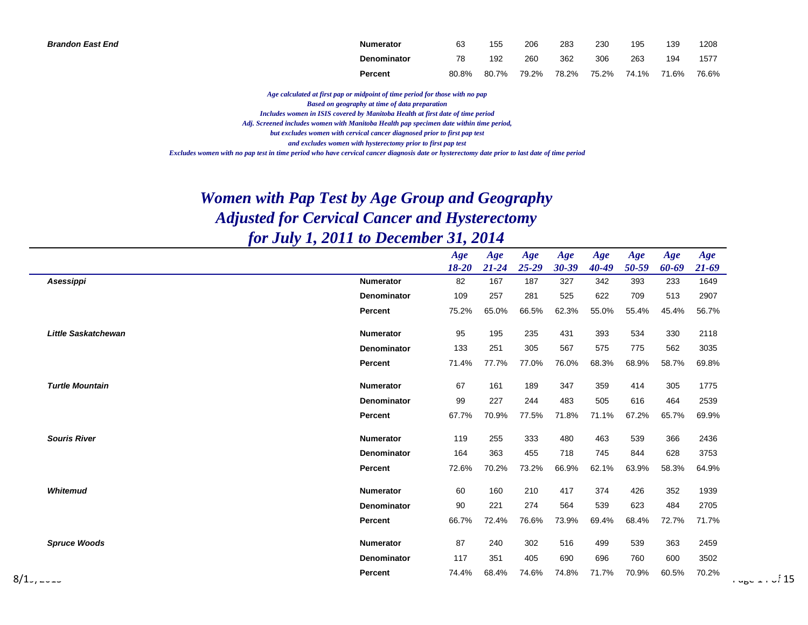| <b>Brandon East End</b> | <b>Numerator</b> | 63    | 155   | 206   | 283   | 230   | 195   | 139   | 1208  |
|-------------------------|------------------|-------|-------|-------|-------|-------|-------|-------|-------|
|                         | Denominator      | 78    | 192   | 260   | 362   | 306   | 263   | 194   | 1577  |
|                         | Percent          | 80.8% | 80.7% | 79.2% | 78.2% | 75.2% | 74.1% | 71.6% | 76.6% |

*Age calculated at first pap or midpoint of time period for those with no pap*

*Based on geography at time of data preparation*

*Includes women in ISIS covered by Manitoba Health at first date of time period*

*Adj. Screened includes women with Manitoba Health pap specimen date within time period,*

*but excludes women with cervical cancer diagnosed prior to first pap test*

*and excludes women with hysterectomy prior to first pap test*

*Excludes women with no pap test in time period who have cervical cancer diagnosis date or hysterectomy date prior to last date of time period*

|                            |                    | Age<br>$18 - 20$ | Age<br>$21 - 24$ | Age<br>$25 - 29$ | Age<br>$30 - 39$ | Age<br>$40 - 49$ | Age<br>50-59 | Age<br>60-69 | Age<br>$21 - 69$ |
|----------------------------|--------------------|------------------|------------------|------------------|------------------|------------------|--------------|--------------|------------------|
| Asessippi                  | <b>Numerator</b>   | 82               | 167              | 187              | 327              | 342              | 393          | 233          | 1649             |
|                            | Denominator        | 109              | 257              | 281              | 525              | 622              | 709          | 513          | 2907             |
|                            | Percent            | 75.2%            | 65.0%            | 66.5%            | 62.3%            | 55.0%            | 55.4%        | 45.4%        | 56.7%            |
| <b>Little Saskatchewan</b> | <b>Numerator</b>   | 95               | 195              | 235              | 431              | 393              | 534          | 330          | 2118             |
|                            | Denominator        | 133              | 251              | 305              | 567              | 575              | 775          | 562          | 3035             |
|                            | Percent            | 71.4%            | 77.7%            | 77.0%            | 76.0%            | 68.3%            | 68.9%        | 58.7%        | 69.8%            |
| <b>Turtle Mountain</b>     | <b>Numerator</b>   | 67               | 161              | 189              | 347              | 359              | 414          | 305          | 1775             |
|                            | Denominator        | 99               | 227              | 244              | 483              | 505              | 616          | 464          | 2539             |
|                            | Percent            | 67.7%            | 70.9%            | 77.5%            | 71.8%            | 71.1%            | 67.2%        | 65.7%        | 69.9%            |
| <b>Souris River</b>        | Numerator          | 119              | 255              | 333              | 480              | 463              | 539          | 366          | 2436             |
|                            | <b>Denominator</b> | 164              | 363              | 455              | 718              | 745              | 844          | 628          | 3753             |
|                            | Percent            | 72.6%            | 70.2%            | 73.2%            | 66.9%            | 62.1%            | 63.9%        | 58.3%        | 64.9%            |
| Whitemud                   | <b>Numerator</b>   | 60               | 160              | 210              | 417              | 374              | 426          | 352          | 1939             |
|                            | <b>Denominator</b> | 90               | 221              | 274              | 564              | 539              | 623          | 484          | 2705             |
|                            | Percent            | 66.7%            | 72.4%            | 76.6%            | 73.9%            | 69.4%            | 68.4%        | 72.7%        | 71.7%            |
| <b>Spruce Woods</b>        | <b>Numerator</b>   | 87               | 240              | 302              | 516              | 499              | 539          | 363          | 2459             |
|                            | Denominator        | 117              | 351              | 405              | 690              | 696              | 760          | 600          | 3502             |
| 8/1 <sub>-1</sub> ----     | Percent            | 74.4%            | 68.4%            | 74.6%            | 74.8%            | 71.7%            | 70.9%        | 60.5%        | 70.2%            |